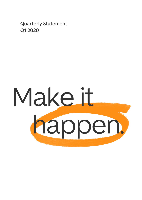**Quarterly Statement Q1 2020**

# Make it happen.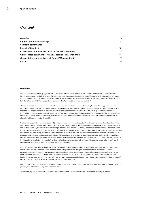# **Content**

| Overview                                                       | 3  |
|----------------------------------------------------------------|----|
| <b>Business performance Group</b>                              | 4  |
| Segment performance                                            | 7  |
| Impact of Covid-19                                             | 10 |
| Consolidated statement of profit or loss (IFRS, unaudited)     | 13 |
| Consolidated statement of financial position (IFRS, unaudited) | 15 |
| Consolidated statement of cash flows (IFRS, unaudited)         | 17 |
| Imprint                                                        | 19 |

#### **Disclaimer**

Scout24 AG as parent company together with its direct and indirect subsidiaries forms the Scout24 Group. Insofar as information in the following notice refers exclusively to Scout24 AG, the company is designated accordingly there ("Scout24 AG"). The designations "Scout24 Group", "Scout24", "Scout24 Group" refer to the entire Group. The continuing business of the ImmoScout24 segment is occasionally referred to in the following as "IS24", the discontinued business of the AutoScout24 segment also as "AS24".

All information contained in this document has been carefully prepared. However, no reliance may be placed for any purposes whatsoever on the information contained in this document or on its completeness. No representation or warranty, express or implied, is given by or on behalf of the Company or any of its directors, officers or employees or any other person as to the accuracy or completeness of the information or opinions contained in this document and no liability whatsoever is accepted by the Company or any of its directors, officers or employees nor any other person for any loss howsoever arising, directly or indirectly, from any use of such information or opinions or otherwise arising in connection therewith.

The information contained in this release is subject to amendment, revision and updating. Certain statements, beliefs and opinions in this document are forward-looking, which reflect the Company's or, as appropriate, senior management's current expectations and projections about future events. By their nature, forward-looking statements involve a number of risks, uncertainties and assumptions that could cause actual results or events to differ materially from those expressed or implied by the forward-looking statements. These risks, uncertainties and assumptions could adversely affect the outcome and financial effects of the plans and events described herein. Statements contained in this document regarding past trends or activities should not be taken as a representation that such trends or activities will continue in the future. The Company does not undertake any obligation to update or revise any information contained in this document (including forwardlooking statements), whether as a result of new information, future events or otherwise. You should not place undue reliance on forwardlooking statements, which speak only as of the date of this document.

Scout24 also uses alternative performance measures, not defined by IFRS, to describe the Scout24 Group's results of operations. These should not be viewed in isolation, but treated as supplementary information. The special items used to calculate some alternative performance measures arise from the integration of acquired businesses, restructuring measures, impairments, gains or losses resulting from divestitures and sales of shareholdings, and other material expenses and income that generally do not arise in conjunction with Scout24's ordinary business activities. Alternative performance measures used by Scout24 are defined in the "Glossary" section of Scout24's Annual Report 2019 which is available a[t www.scout24.com/financial-reports.](http://www.scout24.com/financial-reports)

Due to rounding, numbers presented throughout this statement may not add up precisely to the totals indicated, and percentages may not precisely reflect the absolute figures for the same reason.

The quarterly figures contained in this release were neither audited in accordance with §317 HGB nor reviewed by an auditor.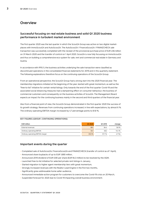## <span id="page-2-0"></span>**Overview**

#### **Successful focusing on real estate business and solid Q1 2020 business performance in turbulent market environment**

The first quarter 2020 was the last quarter in which the Scout24 Group was active on two digital marketplaces with ImmoScout24 and AutoScout24. The AutoScout24 / FinanceScout24 / FINANZCHECK sale transaction was successfully completed with the receipt of the provisional purchase price of EUR 2.84 billion on 31 March 2020 and the transfer of control on 1 April 2020. Scout24 is now fully focussing on ImmoScout24 and thus on building a comprehensive eco-system for sale, rent and commercial real estate in Germany and Austria.

In accordance with IFRS 5, the business activities underlying the sale transaction were classified as discontinued operations in the consolidated financial statements for 2019 and in this quarterly statement. The following explanations therefore focus on the continuing operations of the Scout24 Group.

From an operational perspective, the Scout24 Group had a strong start into the 2020 financial year. The membership migrations initiated at the beginning of the year started with great momentum, as well as the "free-to-list" initiative for certain rental listings. Only towards the end of the first quarter Covid-19 and the associated social distancing measures had a dampening effect on consumer behaviour, the business of commercial customers and consequently on the business activities of Scout24. The Management Board expects an impact for the continuing business mainly in the second and third quarters of the financial year.

Also from a financial point of view, the Scout24 Group demonstrated in the first quarter 2020 the success of its growth strategy. Revenues from continuing operations increased, in line with expectations, by almost 6 %. The ordinary operating EBITDA margin increased by 4.7 percentage points to 61.8 %.

#### **KEY FIGURES (GROUP, CONTINUING OPERATIONS)**

| <b>EUR million</b>               | Q1 2020 | Q1 2019 | change |
|----------------------------------|---------|---------|--------|
| External revenues                | 89.1    | 84.4    | 5.6 %  |
| Ordinary operating EBITDA        | 55.1    | 48.2    | 14.4 % |
| Ordinary operating EBITDA margin | 61.8%   | 57.1%   | 4.7 Pp |

#### **Important events during the quarter**

- Completed sale of AutoScout24, FinanceScout24 and FINANZCHECK (transfer of control as of 1 April),
- Announced share buybacks of up to EUR 1,690 million,
- Announced 2019 dividend of EUR 0,90 per share (EUR 94.3 million) to be resolved by the AGM,
- Launched free-to-list initiative for selected private rent listings in January,
- Started migration to higher agent membership tiers with great momentum,
- Strongly increased revenues with the Realtor Lead Engine in the first two months,
- Significantly grew addressable home seller audience,
- Announced immediate-action program for customers to overcome the Covid-19 crisis on 20 March,
- Suspended forecast for 2020 due to Covid-19 impacting overall business environment.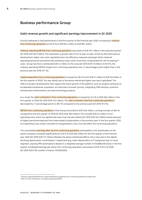## <span id="page-3-0"></span>**Business performance Group**

#### **Solid revenue growth and significant earnings improvement in Q1 2020**

Scout24 delivered a solid performance in the first quarter of the financial year 2020, increasing its revenue from continuing operations by 5.6 % from EUR 84.4 million to EUR 89.1 million.

Ordinary operating EBITDA from continuing operations amounted to EUR 55.1 million in the reported quarter (Q1 2019: EUR 48.2 million). This represents a growth rate of 14.4 % year-on-year, driven by the solid revenue development, higher own work capitalised and cost efficiency measures (amongst others reduced operating personnel and almost flat marketing costs), which more than compensated for the increasing ITcosts . Group functions contributed EUR 2.4 million to the costs (Q1 2019: EUR 1.9 million). At 61.8 %, the ordinary operating EBITDA margin from continuing operations was 4.7 percentage points higher than in the previous year (Q1 2019: 57.1 %).

Capital expenditure from continuing operations increased by 36.2 % from EUR 4.1 million to EUR 5.6 million in the first quarter of 2020. This was mainly due to the above mentioned higher own work capitalised. This refers to project developments that support the future growth of the platform, such as: projects aiming at an accelerated homeowner acquisition, an improved consumer journey, integrating CRM solutions, premium membership enhancements, and data technology projects.

As a result, the <mark>cash contribution<sup>1</sup> from continuing operations</mark> increased by 12.4 % to EUR 49.5 million in the first quarter of 2020 (Q1 2019: EUR 44.0 million). The cash conversion rate from continuing operations<sup>2</sup> decreased by 1.7 percentage points to 89.7 % compared to the previous year (Q1 2019: 91.4 %).

EBITDA from continuing operations of the Group amounted to EUR 52.6 million, a strong increase of 38.4 % compared to the first quarter of 2019 (Q1 2019: EUR 38.0 million). This includes EUR 2.5 million of nonoperating costs, which are significantly lower than the year before (Q1 2019: EUR 10.2 million) mainly because of higher personnel expenses from share-based compensation in the previous year. In the first quarter 2020, non-operating costs mainly consisted of reorganisation costs, incurred within the continuing operations.

The consolidated earnings after tax from continuing operations attributable to the shareholders of the parent company increased significantly by 51.8 % to EUR 26.6 million for the first quarter of the financial year 2020 (Q1 2019: EUR 17.5 million). Besides the above-mentioned effects, this is also due to the slightly declining depreciation / amortisation / impairment (e.g., lower depreciation of IT equipment due to cloud migration, expiring PPA amortisation). Based on a weighted average number of 104,868,448 shares in the first quarter, (undiluted) earnings per share from continuing operations amounted to EUR 0.25 in Q1 2020 (Q1 2019: EUR 0.16; number of shares: 107,600,000).

<sup>1</sup> Ordinary operating EBITDA less capital expenditure (adjusted), from continuing operations respectively <sup>2</sup> Ratio of Cash Contribution to ordinary operating EBITDA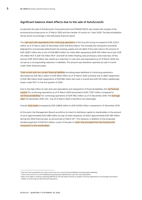#### **Significant balance sheet effects due to the sale of AutoScout24**

As planned, the sale of AutoScout24, FinanceScout24 and FINANZCHECK was closed with receipt of the provisional purchase price on 31 March 2020 and the transfer of control on 1 April 2020. The deconsolidation will be shown accordingly in the half-yearly financial report.

The cash and cash equivalents from continuing operations of the Scout24 Group increased to EUR 2,332.3 million as of 31 March 2020 (31 December 2019: EUR 65.6 million). This includes the transaction proceeds (adjusted for provisionally determined net working capital and net debt of the sold units) in the amount of EUR 2,838.7 million less a sum of EUR 680.0 million for initial debt repayments (EUR 200 million term loan, EUR 315 million RCF II, EUR 120 million RCF I and EUR 45 million floating rate promissory note tranches). Of this amount, EUR 320.0 million was valued as a reduction in cash and cash equivalents as of 31 March 2020, but not yet as a corresponding reduction in liabilities. This amount was therefore reported as cash in transit under other financial assets.

Total current and non-current financial liabilities (including lease liabilities) of continuing operations decreased by EUR 262.2 million to EUR 592.6 million as of 31 March 2020, primarily due to debt repayments of EUR 360 million (total repayments of EUR 680 million less cash in transit) less EUR 100 million additionally drawn under RCF I in the first quarter of 2020.

Due to the high inflow of cash and cash equivalents and repayments of financial liabilities, the net financial surplus<sup>3</sup> for continuing operations as of 31 March 2020 amounted to EUR 1,739.7 million compared to net financial liabilities<sup>4</sup> for continuing operations of EUR 789.2 million as of 31 December 2019. The leverage <mark>ratio<sup>5</sup></mark> (31 December 2019: 2.45 : 1) as of 31 March 2020 is therefore not meaningful.

Overall, total assets increased by EUR 2,586.8 million to EUR 5,018.0 million compared to 31 December 2019.

At this point, the Management Board reconfirms its intent to distribute capital to shareholders in the amount of up to approximately EUR 1,690 million by way of share buybacks, of which approximately EUR 490 million during the 2020 financial year, as announced on March 25<sup>th</sup>. This measure, in addition to the proposed dividend payment of EUR 94.3 million, is part of the plan to return the proceeds from the AutoScout24 transaction to the shareholders.

<sup>&</sup>lt;sup>3</sup> Cash and cash equivalents less total current and non-current financial liabilities (including lease liabilities)

<sup>4</sup> Total current and non-current liabilities (including lease liabilities) less cash and cash equivalents

<sup>&</sup>lt;sup>5</sup> Ratio of net debt to ordinary operating EBITDA for the last twelve months; as stated in the loan agreements, this leverage information relates to continuing and discontinued operations.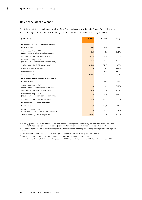#### **Key financials at a glance**

The following table provides an overview of the Scout24 Group's key financial figures for the first quarter of the financial year 2020 – for the continuing and discontinued operations according to IFRS 5.

| (EUR million)                                                                             | Q1 2020 | Q1 2019 | Change            |
|-------------------------------------------------------------------------------------------|---------|---------|-------------------|
| Continuing operations (ImmoScout24 segment)                                               |         |         |                   |
| External revenue                                                                          | 89.1    | 84.4    | 5.6 %             |
| Ordinary operating EBITDA1<br>(without Group functions/consolidation/other)               | 57.5    | 50.1    | 14.8%             |
| Ordinary operating EBITDA margin <sup>2</sup> in %                                        | 64.6%   | 59.4 %  | 5.2 Pp            |
| Ordinary operating EBITDA <sup>1</sup><br>(including Group functions/consolidation/other) | 55.1    | 48.2    | 14.4 %            |
| Ordinary operating EBITDA margin <sup>2</sup> in %                                        | 61.8%   | 57.1%   | 4.7 Pp            |
| Capital expenditure (adjusted) <sup>3</sup>                                               | 5.6     | 4.1     | 36.2%             |
| Cash contribution <sup>4</sup>                                                            | 49.5    | 44.0    | 12.4 %            |
| Cash conversion <sup>5</sup>                                                              | 89.7%   | 91.4 %  | $-1.7$ Pp         |
| Discontinued operations (AutoScout24 segment)                                             |         |         |                   |
| External revenue                                                                          | 56.7    | 64.4    | $-11.9%$          |
| Ordinary operating EBITDA1<br>(without Group functions/consolidation/other)               | 15.8    | 23.1    | $-31.5%$          |
| Ordinary operating EBITDA margin <sup>2</sup> in %                                        | 27.7 %  | 35.7%   | $-8.0$ Pp         |
| Ordinary operating EBITDA1<br>(including Group functions/consolidation/other)             | 15.8    | 22.8    | $-30.8%$          |
| Ordinary operating EBITDA margin <sup>2</sup> in %                                        | 27.8%   | 35.4 %  | $-7.6$ Pp         |
| Continuing + discontinued operations                                                      |         |         |                   |
| External revenue                                                                          | 145.9   | 148.8   | $-2.0%$           |
| Ordinary operating EBITDA1<br>(Group with continuing + discontinued operations)           | 70.9    | 70.9    | $-0.1%$           |
| Ordinary operating EBITDA margin <sup>2</sup> in %                                        | 48.6%   | 47.7%   | 0.9 <sub>pp</sub> |

<sup>1</sup> Ordinary operating EBITDA refers to EBITDA adjusted for non-operating effects, which mainly include expenses for share-based payments, M&A activities (realised and unrealised), reorganisation, strategic projects and other non-operating effects.

<sup>2</sup> The ordinary operating EBITDA margin of a segment is defined as ordinary operating EBITDA as a percentage of external segment revenue.

<sup>3</sup> Capital expenditure (adjusted) does not include capital expenditure made due to the application of IFRS 16.

<sup>4</sup> Cash contribution is defined as ordinary operating EBITDA less capital expenditure (adjusted).

<sup>5</sup> The cash conversion rate is defined as ordinary operating EBITDA less capital expenditure divided by ordinary operating EBITDA.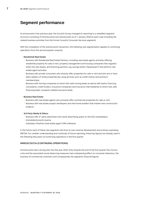# <span id="page-6-0"></span>**Segment performance**

As announced in the previous year, the Scout24 Group changed its reporting to a simplified segment structure consisting of ImmoScout24 and AutoScout24 as of 1 January 2020 (in each case including the related business activities from the former Scout24 Consumer Services segment).

With the completion of the AutoScout24 transaction, the following new segmentation applies to continuing operations from the second quarter onwards:

#### • **Residential Real Estate**

- Business with Residential Real Estate Partners, including real estate agents primarily offering residential property for sale or rent, property management and housing companies that regularly enter into new leases, and financing partners, e.g. savings banks ("Sparkassen") that perform real estate agent activities.
- Business with private consumers who directly offer properties for sale or rent and who are or have been seekers of rental properties (by using services such as credit checks and premium memberships).
- Business with moving companies to whom IS24 sells moving leads as well as with banks, financing consultants, credit brokers, insurance companies and insurance intermediaries to whom IS24 sells financing leads / property-related insurance leads.

#### • **Business Real Estate**

- Business with real estate agents who primarily offer commercial properties for sale or rent.
- Business with real estate project developers and new home builders that market new construction projects.

#### • **3rd Party Media & Others**

- Business with 3<sup>rd</sup> party advertisers who book advertising space on the IS24 marketplace.
- ImmobilienScout24 Austria.
- Subsidiary FlowFact (real estate agent CRM software).

In the future, each of these new segments will show its own revenue development and ordinary operating EBITDA. For a better understanding and continuity of future reporting, these key figures are already used in the following discussion of continuing operations in the first quarter.

#### **IMMOSCOUT24 (CONTINUING OPERATIONS)**

ImmoScout24 had a strong start into the year 2020. Only towards the end of the first quarter the Corona crisis and the associated social distancing measures had a dampening effect on consumer behaviour, the business of commercial customers and consequently the segment's financial figures.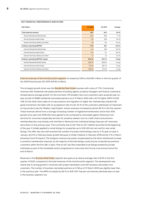| <b>EUR</b> million                | Q1 2020 | Q1 2019 | Change   |
|-----------------------------------|---------|---------|----------|
| Total external revenue            | 89.1    | 84.3    | 5.6%     |
| thereof Residential Real Estate   | 63.4    | 59.2    | 7.1%     |
| thereof Business Real Estate      | 17.9    | 16.8    | 6.4 %    |
| thereof 3rd Party Media and Other | 7.8     | 8.3     | $-6.4%$  |
| <b>Ordinary operating EBITDA</b>  | 57.5    | 50.1    | 14.8 %   |
| thereof Residential Real Estate   | 41.2    | 35.8    | 15.0 %   |
| thereof Business Real Estate      | 13.2    | 11.1    | 18.4 %   |
| thereof 3rd Party Media and Other | 3.1     | 3.1     | 0.4%     |
| Ordinary operating EBITDA margin  | 64.6 %  | 59.4 %  | $5.2$ pp |
| thereof Residential Real Estate   | 65.0%   | 60.6%   | 4.4 pp   |
| thereof Business Real Estate      | 73.6 %  | 66.1%   | $7.5$ pp |
| thereof 3rd Party Media and Other | 39.9 %  | 37.2 %  | 2.7 pp   |

#### **KEY FINANCIAL PERFORMANCE INDICATORS**

External revenues of the ImmoScoutS24 segment increased by 5.6% to EUR 89.1 million in the first quarter of the 2020 financial year (Q1 2019: EUR 84.3 million).

The strongest growth driver was the Residential Real Estate business with a plus of 7.1%. Contractual revenues with residential real estate partners (including agents, property managers and finance customers) showed above-average growth. On the one hand, 479 (smaller) new core customers were acquired year-onyear (a total of 16,680 residential real estate partners as of 31 March 2020 with a 9.5 % higher ARPU of EUR 729). On the other hand, sales of on-top products and migration to higher tier memberships started with great momentum, the latter with an acceptance rate of over 40 % of the customers addressed. An important on-top product was the "Realtor Lead Engine", whose revenues increased by almost 90 % in the first quarter. These revenues derive from a strongly increasing number of registered homeowners (more than 50% growth since year end 2019) who have agreed to be contacted by real estate agents. Revenues from services for consumers (especially services for property seekers such as credit check and premium membership) also rose sharply until mid-March. Revenues from individual listings ("pay-per-ad" revenues) were down on the previous year. This is primarily due to the "free-to-list" initiative launched at the beginning of the year. It initially applied to rental listings for properties up to EUR 400 net rent and for new rental listings. The offer was very well received: the number of private rental listings rose by 12 % year-on-year in January, by 8 % in February (lower growth because of similar initiative in February 2019) and by 3 % in March (showing Covid-19 impact). The foregone revenue was partly compensated by the afore-mentioned increase in premium membership revenues, as the majority of the free listings could only be contacted by premium customers within the first 48h. In April, "free-to-list" was then extended to all listings booked by private individuals as part of the immediate-action programme to overcome the Corona crisis announced at the end of March.

Revenues in the **Business Real Estate** segment also grew at an above-average rate of 6.4% in the first quarter of 2020, compared to the total revenues of the ImmoScout24 segment. This development was mainly due to strong growth in revenues with project developers and with business real estate core customers. The number of business real estate partners at 2,748 as of 31 March 2020 was slightly lower than in the previous year. The ARPU increased by 6.8 % to EUR 1,811. Pay-per-ad revenues declined year-on-year in the business segment, too.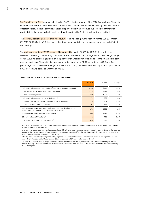3rd Party Media & Other revenues declined by 6.4 % in the first quarter of the 2020 financial year. The main reason for this was the decline in media business due to market reasons, accelerated by the first Covid-19 effects in March. The subsidiary FlowFact also reported declining revenues due to delayed transfer of products into the new cloud solution. In contrast, ImmoScout24 Austria developed very positively.

The ordinary operating EBITDA of ImmoScout24 rose by a strong 14.8 % year-on-year to EUR 57.5 million (Q1 2019: EUR 50.1 million). This is due to the above-mentioned strong revenue development and efficient cost savings.

The ordinary operating EBITDA margin of ImmoScout24 rose to 64.6 % (Q1 2019: 59.4 %) with all new segments delivering positive margin expansions. The business real estate segment achieved a high margin of 73.6 % (up 7.5 percentage points on the prior-year quarter) driven by revenue expansion and significant economies of scale. The residential real estate ordinary operating EBITDA margin was 65.0 % (up 4.4 percentage points). The lower-margin business with 3rd party media & others also improved its profitability, by 2.7 percentage points to a margin of 39.9 %.

|                                                                                                                                                   | Q1 2020 | Q1 2019 | Change |
|---------------------------------------------------------------------------------------------------------------------------------------------------|---------|---------|--------|
| Residential real estate partners (number of core-customers <sup>1</sup> end of period)                                                            | 16,680  | 16.201  | 3.0%   |
| thereof residential agents and property managers                                                                                                  | 15,289  | 14.841  | 3.0%   |
| thereof finance partners                                                                                                                          | 1,391   | 1,360   | 2.3%   |
| Residential real estate partner ARPU <sup>2</sup> (EUR/month)                                                                                     | 729     | 666     | 9.5%   |
| Residential agent and property manager ARPU <sup>2</sup> (EUR/month)                                                                              | 707     | 649     | 8.9%   |
| Finance partner ARPU <sup>2</sup> (EUR/month)                                                                                                     | 974     | 914     | 6.6%   |
| Business real estate partners (commercial agents, project developers, new<br>home builders) (number of core-customers <sup>1</sup> end of period) | 2,748   | 2.809   | $-22%$ |
| Business real estate partner ARPU <sup>2</sup> (EUR/month)                                                                                        | 1,811   | 1,695   | 6.8%   |
| $IS24$ Multiplatform UMV (millions) <sup>3</sup>                                                                                                  | 14.7    | 13.2    | 11.4 % |
| IS24 Sessions per month, Germany (millions) <sup>4</sup>                                                                                          | 103.6   | 98.7    | 5.0%   |

#### **OTHER NON-FINANCIAL PERFORMANCE INDICATORS**

<sup>1</sup> Customers with a running contract containing an obligation for payment which entitles the customer to publish more than one object within the runtime of the contract

<sup>2</sup> Average revenue per user per month, calculated by dividing the revenue generated with the respective core customer in the reported period by the average number of core customers in this period (calculated from the opening and closing balance) further divided by the number of months in the corresponding period

<sup>3</sup> Monthly individual visitors (average of months), regardless of how often they visit the platform in that month and regardless of how many different accesses (desktop and mobile) they use; source: AGOF e. V. / digital facts, 2019-2020

<sup>4</sup> Number of all monthly visits (average of months) in which individual users actively interact with the web or app offering via an end device, whereby a visit ends automatically when the user is not active during at least 30 minutes; source: internal measurement using Google Analytics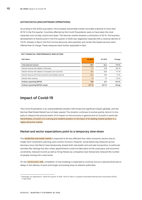#### **AUTOSCOUT24 (DISCONTINUED OPERATIONS)**

According to the ACEA association, the European automobile market recorded a decline of more than 25 %<sup>6</sup> in the first quarter. Countries affected by the Covid-19 pandemic early on have been the most impacted, such as Italy, Austria and Spain. The German market showed a contraction of 20 %. The business development of AutoScout24 in the first quarter of 2020 was negatively impacted with a revenue decline of 11,8 %. Already in March, the first Corona discounts were granted, and certain fee-based services were offered free of charge. These measures were further expanded in April.

#### **KEY FINANCIAL PERFORMANCE INDICATORS**

| <b>EUR</b> million                                        | Q1 2020 | Q1 2019 | Change    |
|-----------------------------------------------------------|---------|---------|-----------|
| Total external revenue                                    | 56.7    | 64.4    | $-11.9%$  |
| thereof revenue with dealers in Germany                   | 17.1    | 23.8    | $-28.1%$  |
| thereof revenue with dealers in European core countries   | 18.2    | 20.6    | $-11.7%$  |
| thereof revenue with finance partners and display revenue | 20.4    | 19.0    | 7.3 %     |
| thereof other revenue                                     | 1.0     | 1.0     | 0.0%      |
| Ordinary operating EBITDA                                 | 15.8    | 23.1    | $-31.5%$  |
| Ordinary operating EBITDA margin                          | 27.7 %  | 35.7%   | $-8.0$ pp |

# <span id="page-9-0"></span>**Impact of Covid-19**

The Covid-19 pandemic is an unprecedented situation with broad and significant impact globally, and the German Real Estate Market has not been spared. The situation continues to evolve quickly, hence it is too early to measure the precise extent of its impact on the economy in general and on Scout24 in particular. Nevertheless, Scout24 is in a strong and resilient position on the back of its leading market position in a highly attractive market.

#### **Market and sector expectations point to a temporary slow-down**

The residential real estate market is expected to be less affected than other economic sectors due to longer-term investment, planning, and contract horizons. However, social distancing measures across Germany since mid-March have temporarily slowed both real estate rent and sale transactions. In particular activities like viewings but also notary appointments could not take place at the usual pace, and economic uncertainty, reduced income as well as hiring freezes by companies have temporarily reduced the number of people moving into a new home.

On the **construction side**, completion of new buildings is expected to continue, but at a reduced level due to delays in the delivery of parts and longer processing times at relevant authorities.

<sup>6 &</sup>quot;Passenger car registrations: -25.6% first quarter of 2020; -55.1% in March", European Automobile Manufacturers Association (ACEA), 17 April 2020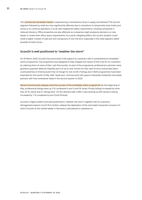The commercial real estate market is experiencing a simultaneous drop in supply and demand. The tourism segment followed by retail are most significantly affected due to resolutions to temporarily close hotels and stores or to continue operations, if at all, with heightened safety requirements, resulting necessarily in reduced vibrancy. Office properties are also affected, as companies might postpone decisions on new leases or review their office space requirements. As a partly mitigating effect, the current situation could entail a higher number of sale and rent transactions in the mid-term, especially in the retail segment, albeit possibly at lower prices.

#### **Scout24 is well positioned to "weather the storm"**

On 20 March 2020, Scout24 has announced it will support its customers with a comprehensive immediateaction programme. The programme was designed to help mitigate the impact of the crisis for its customers by relieving them of some of their cash flow burden. As part of the programme, professional customers were granted a payment deferral ("liquidity plus") of up to nine months for their April invoice, and private listers could advertise on ImmoScout24 free of charge for one month ("listings plus"). Both programmes have been extended for the month of May. With "leads plus", ImmoScout24 will support interested residential real estate partners with free homeowner leads in the second quarter of 2020.

Recent ImmoScout24 analyses show the success of the immediate-action programme. By the beginning of May, professional listings were up 3 % compared to pre-Covid-19 -levels. Private listings increased by more than 20 % mainly due to "listings plus". On the demand side, traffic is also picking up with sessions having increased by 7 % compared to pre-Covid-19 levels.

Scout24 is highly resilient and well positioned to "weather the storm" together with its customers. Management expects Covid-19 to further catalyse the digitisation of the real estate transaction process, for which Scout24 as the market leader in Germany is well placed to capitalise on.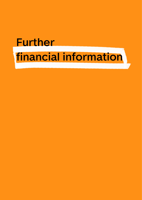# **Further financial information**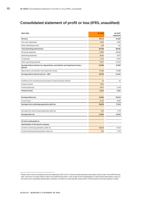# <span id="page-12-0"></span>**Consolidated statement of profit or loss (IFRS, unaudited)**

| (EUR '000)                                                                                         | Q1 2020   | Q1 20197<br>(adjusted) |
|----------------------------------------------------------------------------------------------------|-----------|------------------------|
| Revenue                                                                                            | 89,110    | 84,361                 |
| Own work capitalised                                                                               | 5,383     | 2,995                  |
| Other operating income                                                                             | 296       | 725                    |
| Total operating performance                                                                        | 94,789    | 88,081                 |
| Personnel expenses                                                                                 | $-17,890$ | $-26,469$              |
| Advertising expenses                                                                               | $-8,264$  | $-8,129$               |
| IT expenses                                                                                        | $-4,172$  | $-3,040$               |
| Other operating expenses                                                                           | $-11,877$ | $-12,450$              |
| Earnings before interest, tax, depreciation, amortisation and impairment losses -<br><b>EBITDA</b> | 52,586    | 37,992                 |
| Depreciation, amortisation and impairment losses                                                   | $-12,786$ | $-13,588$              |
| Earnings before interest and tax - EBIT                                                            | 39,799    | 24,404                 |
|                                                                                                    |           |                        |
| Profit/loss from investments accounted for using the equity method                                 | 34        | 54                     |
| Finance income                                                                                     | 1,622     |                        |
| Finance expenses                                                                                   | $-8,071$  | $-4,218$               |
| <b>Financial result</b>                                                                            | $-6,415$  | $-4,164$               |
|                                                                                                    |           |                        |
| Earnings before tax                                                                                | 33,384    | 20,240                 |
| Income taxes                                                                                       | $-6,755$  | $-2,695$               |
| Earnings from continuing operations after tax                                                      | 26,629    | 17,545                 |
|                                                                                                    |           |                        |
| Earnings from discontinued operations after tax                                                    | 633       | 7,778                  |
| Earnings after tax                                                                                 | 27,262    | 25,322                 |
|                                                                                                    |           |                        |
| Of which attributable to:                                                                          |           |                        |
| Shareholders of the parent company                                                                 |           |                        |
| of which: continuing operations, after tax                                                         | 26,629    | 17,545                 |
| of which: discontinued operations, after tax                                                       | 633       | 7,778                  |

<sup>7</sup> Please refer to the consolidated financial statements 2019, note "2.1 Discontinued operations and assets held for sale in the 2019 financial year" and note "2.2 Assets held for sale in the 2018 financial year". In the scope of the reclassification in April 2019 as described in note 2.2, the catch-up of scheduled depreciation resulted in an effect on earnings after taxes of EUR -790 thousand for the first quarter of 2019.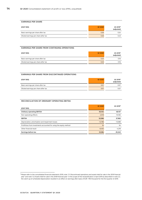| <b>EARNINGS PER SHARE</b>            |          |                                    |
|--------------------------------------|----------|------------------------------------|
| (EUR '000)                           | Q1 20 20 | Q1 2019 <sup>8</sup><br>(adjusted) |
| Basic earnings per share after tax   | 0.26     | 0.24                               |
| Diluted earnings per share after tax | 0.26     | 0.23                               |

#### **EARNINGS PER SHARE FROM CONTINUING OPERATIONS**

| (EUR '000)                           | Q1 2020 | Q1 2019 <sup>9</sup><br>(adjusted) |
|--------------------------------------|---------|------------------------------------|
| Basic earnings per share after tax   | 0.25    | 0.16                               |
| Diluted earnings per share after tax | 0.25    | 0.16                               |

| <b>EARNINGS PER SHARE FROM DISCONTINUED OPERATIONS</b> |          |                                    |
|--------------------------------------------------------|----------|------------------------------------|
| (EUR '000)                                             | Q1 20 20 | Q1 2019 <sup>9</sup><br>(adjusted) |
| Basic earnings per share after tax                     | 0.01     | 0.07                               |
| Diluted earnings per share after tax                   | 0.01     | 0.07                               |

#### **RECONCILIATION OF ORDINARY OPERATING EBITDA**

|                                                                    | Q1 2020   | Q1 2019 <sup>9</sup> |
|--------------------------------------------------------------------|-----------|----------------------|
| (EUR '000)                                                         |           |                      |
| <b>Ordinary operating EBITDA</b>                                   | 55,104    | 48.157               |
| Non-operating effects                                              | $-2,518$  | $-10.165$            |
| <b>EBITDA</b>                                                      | 52,586    | 37,992               |
| Depreciation, amortisation and impairment losses                   | $-12.786$ | $-13.588$            |
| Profit/loss from investments accounted for using the equity method | 34        | 54                   |
| Other financial result                                             | $-6.450$  | $-4.218$             |
| Earnings before tax                                                | 33,384    | 20,240               |

<sup>&</sup>lt;sup>8</sup> Please refer to the consolidated financial statements 2019, note "2.1 Discontinued operations and assets held for sale in the 2019 financial year" and note "2.2 Assets held for sale in the 2018 financial year". In the scope of the reclassification in April 2019 as described in note 2.2, the catch-up of scheduled depreciation resulted in an effect on earnings after taxes of EUR -790 thousand for the first quarter of 2019.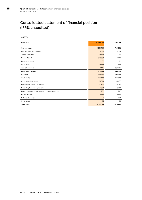# <span id="page-14-0"></span>**Consolidated statement of financial position (IFRS, unaudited)**

| (EUR '000)                                        | 31.03.2020 | 31.12.2019 |
|---------------------------------------------------|------------|------------|
| <b>Current assets</b>                             | 3,338,449  | 740,382    |
| Cash and cash equivalents                         | 2,332,261  | 65,574     |
| Trade receivables                                 | 28,325     | 31,241     |
| Financial assets                                  | 320,657    | 1,290      |
| Income tax assets                                 | 37         | 32         |
| Other assets                                      | 15,655     | 7,450      |
| Assets held for sale                              | 641,514    | 634,795    |
| Non-current assets                                | 1,679,580  | 1,690,810  |
| Goodwill                                          | 692,690    | 692,690    |
| <b>Trademarks</b>                                 | 872,818    | 872,818    |
| Other intangible assets                           | 85,898     | 91,437     |
| Right-of-use assets from leases                   | 20,827     | 22,051     |
| Property, plant and equipment                     | 4,358      | 8,747      |
| Investments accounted for using the equity method | 282        | 247        |
| <b>Financial assets</b>                           | 2,684      | 2,525      |
| Deferred tax assets                               | 6          | 277        |
| Other assets                                      | 16         | 18         |
| <b>Total assets</b>                               | 5,018,029  | 2,431,192  |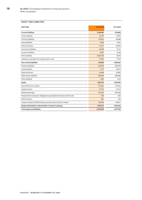#### **EQUITY AND LIABILITIES**

| (EUR '000)                                                              | 31.03.2020 | 31.12.2019 |
|-------------------------------------------------------------------------|------------|------------|
| <b>Current liabilities</b>                                              | 3,168,282  | 210,809    |
| Trade payables                                                          | 44,297     | 17,905     |
| <b>Financial liabilities</b>                                            | 120,945    | 26,666     |
| Lease liabilities                                                       | 4,606      | 4,834      |
| Other provisions                                                        | 34,737     | 48,038     |
| Income tax liabilities                                                  | 22,499     | 17,124     |
| Contract liabilities                                                    | 9,067      | 8,339      |
| Other liabilities                                                       | 2,857,095  | 16,192     |
| Liabilities associated with assets held for sale                        | 75,035     | 71,710     |
| Non-current liabilities                                                 | 791,996    | 1,166,465  |
| <b>Financial liabilities</b>                                            | 449.939    | 805,199    |
| Lease liabilities                                                       | 17,112     | 18,075     |
| Other provisions                                                        | 34,698     | 44,983     |
| Deferred tax liabilities                                                | 288,266    | 296,060    |
| Other liabilities                                                       | 1,981      | 2,148      |
| Equity                                                                  | 1,057,751  | 1,053,919  |
| Subscribed share capital                                                | 107,600    | 107,600    |
| Capital reserve                                                         | 171,133    | 171,133    |
| Retained earnings                                                       | 931,345    | 904.083    |
| Measurement of pension obligations associated with assets held for sale | $-206$     | $-206$     |
| Other reserves                                                          | 887        | 879        |
| Treasury shares (2,793,873 shares, previous year: 2,437,041 shares)     | $-153,009$ | $-129,571$ |
| Equity attributable to shareholders of parent company                   | 1,057,751  | 1,053,919  |
| Total equity and liabilities                                            | 5,018,029  | 2,431,192  |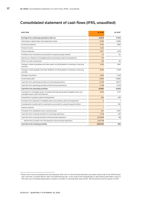# <span id="page-16-0"></span>**Consolidated statement of cash flows (IFRS, unaudited)**

| (EUR '000)                                                                                                                    | Q1 2020      | Q1 2019 <sup>9</sup> |
|-------------------------------------------------------------------------------------------------------------------------------|--------------|----------------------|
| Earnings from continuing operations after tax                                                                                 | 26,629       | 17,545               |
| Amortisation, depreciation and impairment losses                                                                              | 12,786       | 13,588               |
| Income tax expense                                                                                                            | 6,755        | 2,695                |
| Finance income                                                                                                                | $-1,622$     |                      |
| Finance expenses                                                                                                              | 8,071        | 4,218                |
| Profit/loss from investments accounted for using the equity method                                                            | $-34$        | $-54$                |
| Gain/loss on disposal of intangible assets and property, plant and equipment                                                  | 135          |                      |
| Other non-cash transactions                                                                                                   | 128          | 66                   |
| Change in trade receivables and other assets not attributable to investing or financing<br>activities                         | $-5,159$     | 2,691                |
| Change in trade payables and other liabilities not attributable to investing or financing<br>activities                       | 6,595        | $-2.048$             |
| Change in provisions                                                                                                          | $-1.606$     | 7,529                |
| Income taxes paid                                                                                                             | $-8,909$     | $-16,960$            |
| Cash flow from operating activities of continuing operations                                                                  | 43,769       | 29,270               |
| Cash flow from operating activities of discontinued operations                                                                | 17.196       | 11.548               |
| Cash flow from operating activities                                                                                           | 60,965       | 40,818               |
| Investments in intangible assets, including internally generated intangible assets and<br>intangible assets under development | $-5,383$     | $-3,751$             |
| Investments in property, plant and equipment                                                                                  | $-266$       | $-399$               |
| Proceeds from disposal of intangible assets and property, plant and equipment                                                 | 6            | 1                    |
| Consideration transferred for investments accounted for using the equity method                                               |              | $-350$               |
| Interest received                                                                                                             | $\mathbf{1}$ | $\mathbf{1}$         |
| Proceeds from subsidiaries sold in previous years                                                                             | 504          | 5,300                |
| Cash flow from investing activities of continuing operations                                                                  | $-5.138$     | 802                  |
| Cash flow from investing activities of discontinued operations                                                                | 2,833,898    | -196                 |
| thereof net proceeds from the disposal of discontinued operations                                                             | 2,837,198    |                      |
| Cash flow from investing activities                                                                                           | 2,828,760    | 606                  |

<sup>9</sup> Please refer to the consolidated financial statements 2019, note "2.1 Discontinued operations and assets held for sale in the 2019 financial year" and note "2.2 Assets held for sale in the 2018 financial year". In the scope of the reclassification in April 2019 as described in note 2.2, the catch-up of scheduled depreciation resulted in an effect on earnings after taxes of EUR -790 thousand for the first quarter of 2019.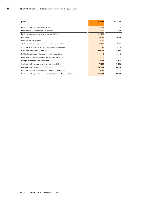| (EUR '000)                                                            | Q1 2020    | Q1 2019 <sup>9</sup> |
|-----------------------------------------------------------------------|------------|----------------------|
| Raising of short-term financial liabilities                           | 100,000    |                      |
| Repayment of short-term financial liabilities                         | $-121,274$ | $-1,409$             |
| Raising of medium- and long-term financial liabilities                | $-560.000$ |                      |
| Interest paid                                                         | $-4,843$   | $-4,386$             |
| Purchase of treasury shares                                           | $-25,765$  |                      |
| Cash flow from financing activities of continuing operations          | $-611,882$ | $-5,795$             |
| Cash flow from financing activities of discontinued operations        | $-541$     | $-1,211$             |
| Cash flow from financing activities                                   | $-612,423$ | $-7,006$             |
| Net foreign exchange difference, continuing operations                | 8          | $\overline{2}$       |
| Net foreign exchange difference, discontinued operations              |            |                      |
| Change in cash and cash equivalents                                   | 2,277,310  | 34,421               |
| Cash and cash equivalents at beginning of period                      | 70,385     | 59,202               |
| Cash and cash equivalents at end of period                            | 2,347,695  | 93,623               |
| Less cash and cash equivalents at end of period held for sale         | $-15,434$  |                      |
| Cash and cash equivalents at end of period from continuing operations | 2,332,261  | 93,623               |